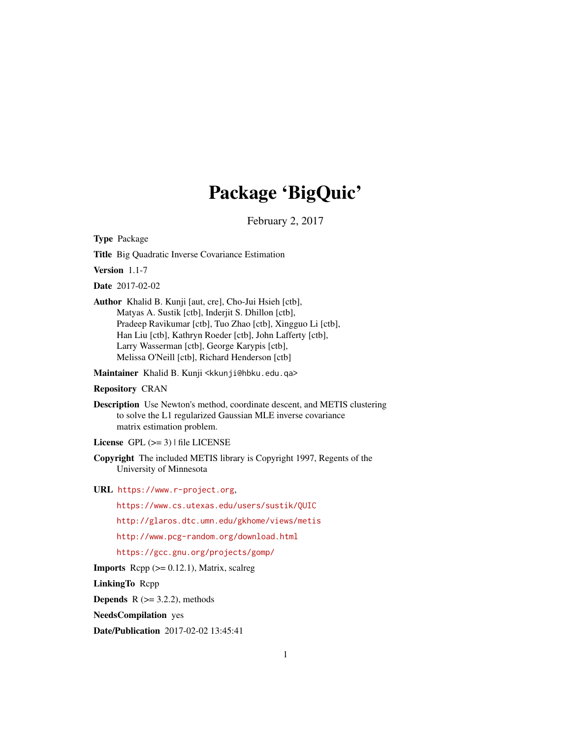# Package 'BigQuic'

February 2, 2017

<span id="page-0-0"></span>Type Package

Title Big Quadratic Inverse Covariance Estimation

Version 1.1-7

Date 2017-02-02

Author Khalid B. Kunji [aut, cre], Cho-Jui Hsieh [ctb], Matyas A. Sustik [ctb], Inderjit S. Dhillon [ctb], Pradeep Ravikumar [ctb], Tuo Zhao [ctb], Xingguo Li [ctb], Han Liu [ctb], Kathryn Roeder [ctb], John Lafferty [ctb], Larry Wasserman [ctb], George Karypis [ctb], Melissa O'Neill [ctb], Richard Henderson [ctb]

Maintainer Khalid B. Kunji <kkunji@hbku.edu.qa>

#### Repository CRAN

- Description Use Newton's method, coordinate descent, and METIS clustering to solve the L1 regularized Gaussian MLE inverse covariance matrix estimation problem.
- License GPL  $(>= 3)$  | file LICENSE
- Copyright The included METIS library is Copyright 1997, Regents of the University of Minnesota

URL <https://www.r-project.org>,

<https://www.cs.utexas.edu/users/sustik/QUIC>

<http://glaros.dtc.umn.edu/gkhome/views/metis>

<http://www.pcg-random.org/download.html>

<https://gcc.gnu.org/projects/gomp/>

**Imports** Rcpp  $(>= 0.12.1)$ , Matrix, scalreg

LinkingTo Rcpp

**Depends**  $R$  ( $>= 3.2.2$ ), methods

NeedsCompilation yes

Date/Publication 2017-02-02 13:45:41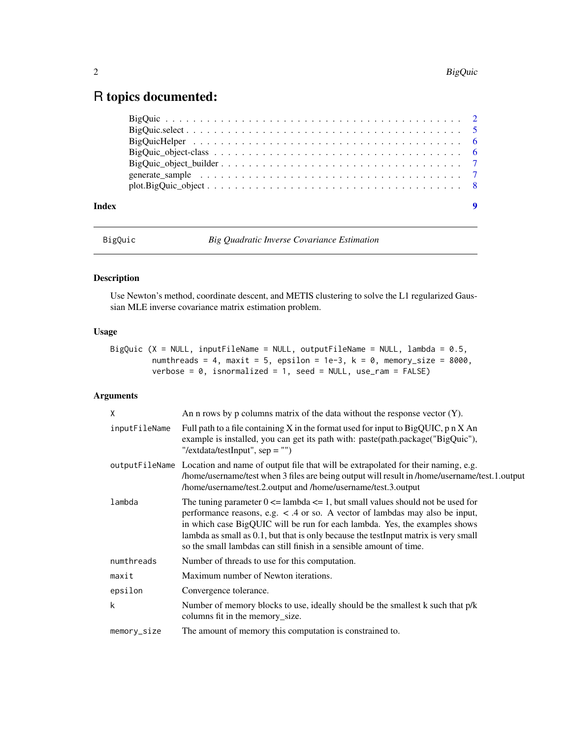## <span id="page-1-0"></span>R topics documented:

| Index |  |
|-------|--|

BigQuic *Big Quadratic Inverse Covariance Estimation*

### Description

Use Newton's method, coordinate descent, and METIS clustering to solve the L1 regularized Gaussian MLE inverse covariance matrix estimation problem.

### Usage

| BigQuic $(X = NULL, inputFileName = NULL, outputFileName = NULL, lambda = 0.5,$ |  |  |  |  |  |
|---------------------------------------------------------------------------------|--|--|--|--|--|
| numthreads = 4. maxit = 5. epsilon = 1e-3. $k = 0$ . memory size = 8000.        |  |  |  |  |  |
| verbose = 0, isnormalized = 1, seed = $NUL$ , use_ram = $FALSE$ )               |  |  |  |  |  |

### Arguments

| $\mathsf{x}$  | An n rows by p columns matrix of the data without the response vector $(Y)$ .                                                                                                                                                                                                                                                                                                                                        |
|---------------|----------------------------------------------------------------------------------------------------------------------------------------------------------------------------------------------------------------------------------------------------------------------------------------------------------------------------------------------------------------------------------------------------------------------|
| inputFileName | Full path to a file containing X in the format used for input to BigQUIC, $p \nvert X$ An<br>example is installed, you can get its path with: paste(path.package("BigQuic"),<br>"/extdata/testInput", $sep =$ "")                                                                                                                                                                                                    |
|               | output FileName Location and name of output file that will be extrapolated for their naming, e.g.<br>/home/username/test when 3 files are being output will result in /home/username/test.1.output<br>/home/username/test.2.output and /home/username/test.3.output                                                                                                                                                  |
| lambda        | The tuning parameter $0 \le$ lambda $\le$ 1, but small values should not be used for<br>performance reasons, e.g. $\lt$ .4 or so. A vector of lambdas may also be input,<br>in which case BigQUIC will be run for each lambda. Yes, the examples shows<br>lambda as small as 0.1, but that is only because the testInput matrix is very small<br>so the small lambdas can still finish in a sensible amount of time. |
| numthreads    | Number of threads to use for this computation.                                                                                                                                                                                                                                                                                                                                                                       |
| maxit         | Maximum number of Newton iterations.                                                                                                                                                                                                                                                                                                                                                                                 |
| epsilon       | Convergence tolerance.                                                                                                                                                                                                                                                                                                                                                                                               |
| k             | Number of memory blocks to use, ideally should be the smallest k such that p/k<br>columns fit in the memory_size.                                                                                                                                                                                                                                                                                                    |
| memory_size   | The amount of memory this computation is constrained to.                                                                                                                                                                                                                                                                                                                                                             |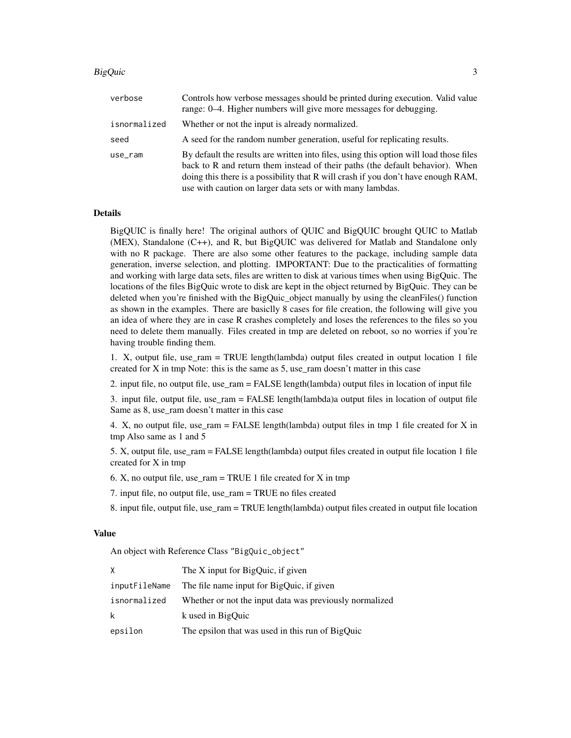#### BigQuic 3

| verbose      | Controls how verbose messages should be printed during execution. Valid value<br>range: 0–4. Higher numbers will give more messages for debugging.                                                                                                                                                                         |
|--------------|----------------------------------------------------------------------------------------------------------------------------------------------------------------------------------------------------------------------------------------------------------------------------------------------------------------------------|
| isnormalized | Whether or not the input is already normalized.                                                                                                                                                                                                                                                                            |
| seed         | A seed for the random number generation, useful for replicating results.                                                                                                                                                                                                                                                   |
| use_ram      | By default the results are written into files, using this option will load those files<br>back to R and return them instead of their paths (the default behavior). When<br>doing this there is a possibility that R will crash if you don't have enough RAM,<br>use with caution on larger data sets or with many lambdas. |

#### Details

BigQUIC is finally here! The original authors of QUIC and BigQUIC brought QUIC to Matlab (MEX), Standalone (C++), and R, but BigQUIC was delivered for Matlab and Standalone only with no R package. There are also some other features to the package, including sample data generation, inverse selection, and plotting. IMPORTANT: Due to the practicalities of formatting and working with large data sets, files are written to disk at various times when using BigQuic. The locations of the files BigQuic wrote to disk are kept in the object returned by BigQuic. They can be deleted when you're finished with the BigQuic\_object manually by using the cleanFiles() function as shown in the examples. There are basiclly 8 cases for file creation, the following will give you an idea of where they are in case R crashes completely and loses the references to the files so you need to delete them manually. Files created in tmp are deleted on reboot, so no worries if you're having trouble finding them.

1. X, output file, use\_ram = TRUE length(lambda) output files created in output location 1 file created for X in tmp Note: this is the same as 5, use\_ram doesn't matter in this case

2. input file, no output file, use\_ram = FALSE length(lambda) output files in location of input file

3. input file, output file, use\_ram = FALSE length(lambda)a output files in location of output file Same as 8, use\_ram doesn't matter in this case

4. X, no output file, use\_ram = FALSE length(lambda) output files in tmp 1 file created for X in tmp Also same as 1 and 5

5. X, output file, use\_ram = FALSE length(lambda) output files created in output file location 1 file created for X in tmp

6. X, no output file, use  $ram = TRUE 1$  file created for X in tmp

7. input file, no output file, use\_ram = TRUE no files created

8. input file, output file, use\_ram = TRUE length(lambda) output files created in output file location

#### Value

An object with Reference Class "BigQuic\_object"

| X             | The X input for BigQuic, if given                       |
|---------------|---------------------------------------------------------|
| inputFileName | The file name input for BigQuic, if given               |
| isnormalized  | Whether or not the input data was previously normalized |
| k             | k used in BigOuic                                       |
| epsilon       | The epsilon that was used in this run of BigQuic        |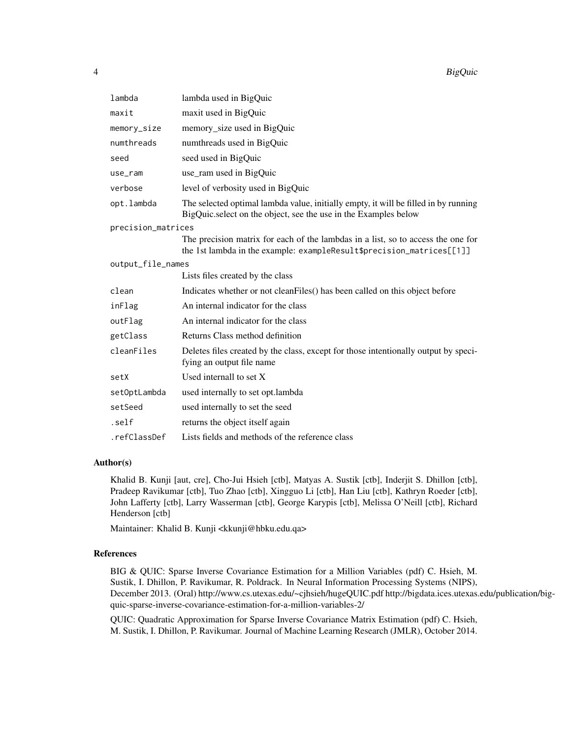| lambda             | lambda used in BigQuic                                                                                                                                    |
|--------------------|-----------------------------------------------------------------------------------------------------------------------------------------------------------|
| maxit              | maxit used in BigQuic                                                                                                                                     |
| memory_size        | memory_size used in BigQuic                                                                                                                               |
| numthreads         | numthreads used in BigQuic                                                                                                                                |
| seed               | seed used in BigQuic                                                                                                                                      |
| use_ram            | use_ram used in BigQuic                                                                                                                                   |
| verbose            | level of verbosity used in BigQuic                                                                                                                        |
| opt.lambda         | The selected optimal lambda value, initially empty, it will be filled in by running<br>BigQuic.select on the object, see the use in the Examples below    |
| precision_matrices |                                                                                                                                                           |
|                    | The precision matrix for each of the lambdas in a list, so to access the one for<br>the 1st lambda in the example: exampleResult\$precision_matrices[[1]] |
| output_file_names  |                                                                                                                                                           |
|                    | Lists files created by the class                                                                                                                          |
| clean              | Indicates whether or not cleanFiles() has been called on this object before                                                                               |
| inFlag             | An internal indicator for the class                                                                                                                       |
| outFlag            | An internal indicator for the class                                                                                                                       |
| getClass           | Returns Class method definition                                                                                                                           |
| cleanFiles         | Deletes files created by the class, except for those intentionally output by speci-<br>fying an output file name                                          |
| setX               | Used internall to set $X$                                                                                                                                 |
| setOptLambda       | used internally to set opt.lambda                                                                                                                         |
| setSeed            | used internally to set the seed                                                                                                                           |
| .self              | returns the object itself again                                                                                                                           |
| .refClassDef       | Lists fields and methods of the reference class                                                                                                           |

#### Author(s)

Khalid B. Kunji [aut, cre], Cho-Jui Hsieh [ctb], Matyas A. Sustik [ctb], Inderjit S. Dhillon [ctb], Pradeep Ravikumar [ctb], Tuo Zhao [ctb], Xingguo Li [ctb], Han Liu [ctb], Kathryn Roeder [ctb], John Lafferty [ctb], Larry Wasserman [ctb], George Karypis [ctb], Melissa O'Neill [ctb], Richard Henderson [ctb]

Maintainer: Khalid B. Kunji <kkunji@hbku.edu.qa>

#### References

BIG & QUIC: Sparse Inverse Covariance Estimation for a Million Variables (pdf) C. Hsieh, M. Sustik, I. Dhillon, P. Ravikumar, R. Poldrack. In Neural Information Processing Systems (NIPS), December 2013. (Oral) http://www.cs.utexas.edu/~cjhsieh/hugeQUIC.pdf http://bigdata.ices.utexas.edu/publication/bigquic-sparse-inverse-covariance-estimation-for-a-million-variables-2/

QUIC: Quadratic Approximation for Sparse Inverse Covariance Matrix Estimation (pdf) C. Hsieh, M. Sustik, I. Dhillon, P. Ravikumar. Journal of Machine Learning Research (JMLR), October 2014.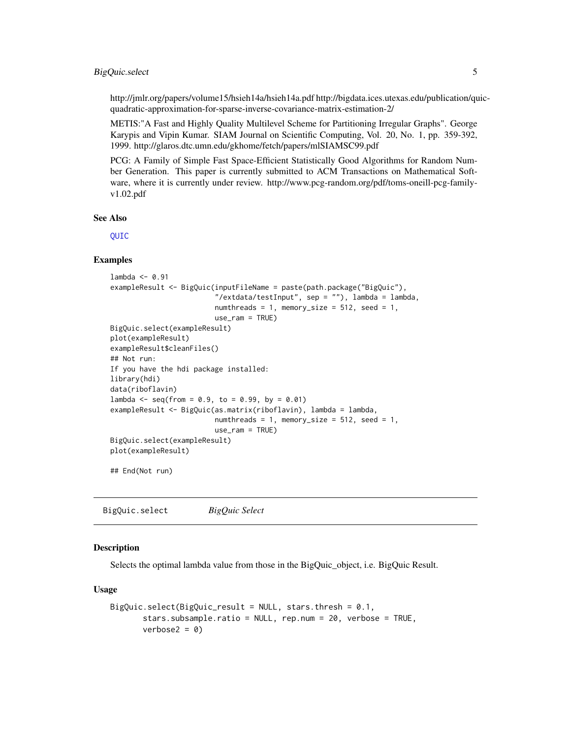#### <span id="page-4-0"></span>BigQuic.select 5

http://jmlr.org/papers/volume15/hsieh14a/hsieh14a.pdf http://bigdata.ices.utexas.edu/publication/quicquadratic-approximation-for-sparse-inverse-covariance-matrix-estimation-2/

METIS:"A Fast and Highly Quality Multilevel Scheme for Partitioning Irregular Graphs". George Karypis and Vipin Kumar. SIAM Journal on Scientific Computing, Vol. 20, No. 1, pp. 359-392, 1999. http://glaros.dtc.umn.edu/gkhome/fetch/papers/mlSIAMSC99.pdf

PCG: A Family of Simple Fast Space-Efficient Statistically Good Algorithms for Random Number Generation. This paper is currently submitted to ACM Transactions on Mathematical Software, where it is currently under review. http://www.pcg-random.org/pdf/toms-oneill-pcg-familyv1.02.pdf

#### See Also

[QUIC](#page-0-0)

#### Examples

```
lambda < -0.91exampleResult <- BigQuic(inputFileName = paste(path.package("BigQuic"),
                         "/extdata/testInput", sep = ""), lambda = lambda,
                         numthreads = 1, memory_size = 512, seed = 1,
                         use_ram = TRUE)
BigQuic.select(exampleResult)
plot(exampleResult)
exampleResult$cleanFiles()
## Not run:
If you have the hdi package installed:
library(hdi)
data(riboflavin)
lambda < - seq(from = 0.9, to = 0.99, by = 0.01)
exampleResult <- BigQuic(as.matrix(riboflavin), lambda = lambda,
                         numthreads = 1, memory_size = 512, seed = 1,
                         use_ram = TRUE)
BigQuic.select(exampleResult)
plot(exampleResult)
```
## End(Not run)

BigQuic.select *BigQuic Select*

#### Description

Selects the optimal lambda value from those in the BigQuic object, i.e. BigQuic Result.

#### Usage

```
BigQuic.select(BigQuic_result = NULL, stars.thresh = 0.1,
      stars.subsample.ratio = NULL, rep.num = 20, verbose = TRUE,
      verbose2 = 0
```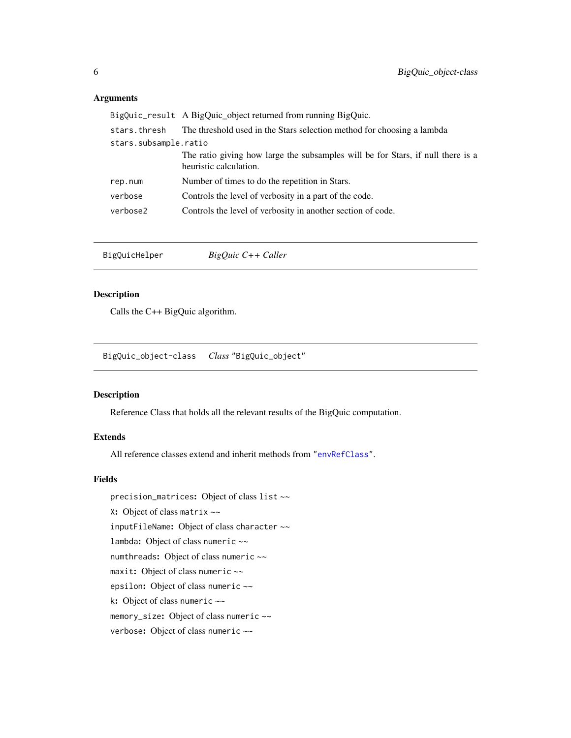#### <span id="page-5-0"></span>Arguments

|                       | BigQuic_result A BigQuic_object returned from running BigQuic.                                            |
|-----------------------|-----------------------------------------------------------------------------------------------------------|
| stars.thresh          | The threshold used in the Stars selection method for choosing a lambda                                    |
| stars.subsample.ratio |                                                                                                           |
|                       | The ratio giving how large the subsamples will be for Stars, if null there is a<br>heuristic calculation. |
| rep.num               | Number of times to do the repetition in Stars.                                                            |
| verbose               | Controls the level of verbosity in a part of the code.                                                    |
| verbose2              | Controls the level of verbosity in another section of code.                                               |
|                       |                                                                                                           |

BigQuicHelper *BigQuic C++ Caller*

#### Description

Calls the C++ BigQuic algorithm.

BigQuic\_object-class *Class* "BigQuic\_object"

#### Description

Reference Class that holds all the relevant results of the BigQuic computation.

#### Extends

All reference classes extend and inherit methods from ["envRefClass"](#page-0-0).

#### Fields

precision\_matrices: Object of class list ~~ X: Object of class matrix ~~ inputFileName: Object of class character ~~ lambda: Object of class numeric ~~ numthreads: Object of class numeric ~~ maxit: Object of class numeric ~~ epsilon: Object of class numeric ~~ k: Object of class numeric ~~ memory\_size: Object of class numeric ~~ verbose: Object of class numeric ~~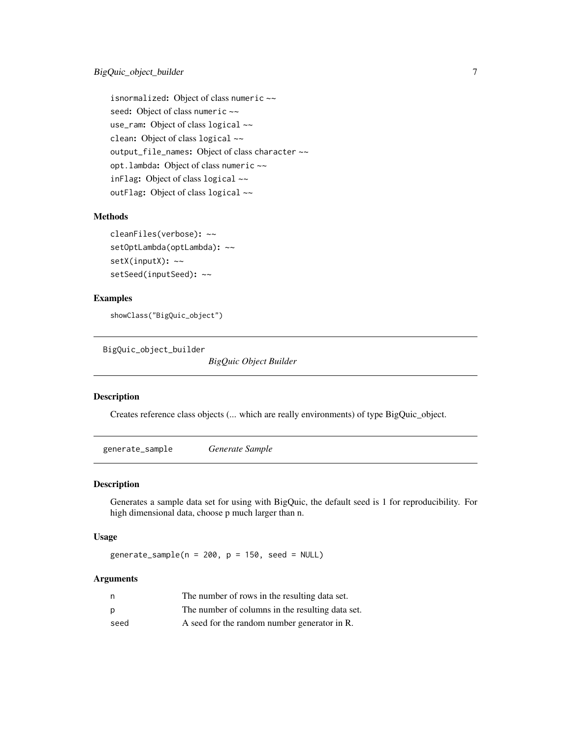<span id="page-6-0"></span>isnormalized: Object of class numeric ~~ seed: Object of class numeric ~~ use\_ram: Object of class logical ~~ clean: Object of class logical ~~ output\_file\_names: Object of class character ~~ opt.lambda: Object of class numeric ~~ inFlag: Object of class logical ~~ outFlag: Object of class logical ~~

#### Methods

```
cleanFiles(verbose): ~~
setOptLambda(optLambda): ~~
setX(inputX): ~~
setSeed(inputSeed): ~~
```
#### Examples

showClass("BigQuic\_object")

BigQuic\_object\_builder

*BigQuic Object Builder*

#### Description

Creates reference class objects (... which are really environments) of type BigQuic\_object.

generate\_sample *Generate Sample*

#### Description

Generates a sample data set for using with BigQuic, the default seed is 1 for reproducibility. For high dimensional data, choose p much larger than n.

#### Usage

generate\_sample( $n = 200$ ,  $p = 150$ , seed = NULL)

#### Arguments

| n    | The number of rows in the resulting data set.    |
|------|--------------------------------------------------|
| p    | The number of columns in the resulting data set. |
| seed | A seed for the random number generator in R.     |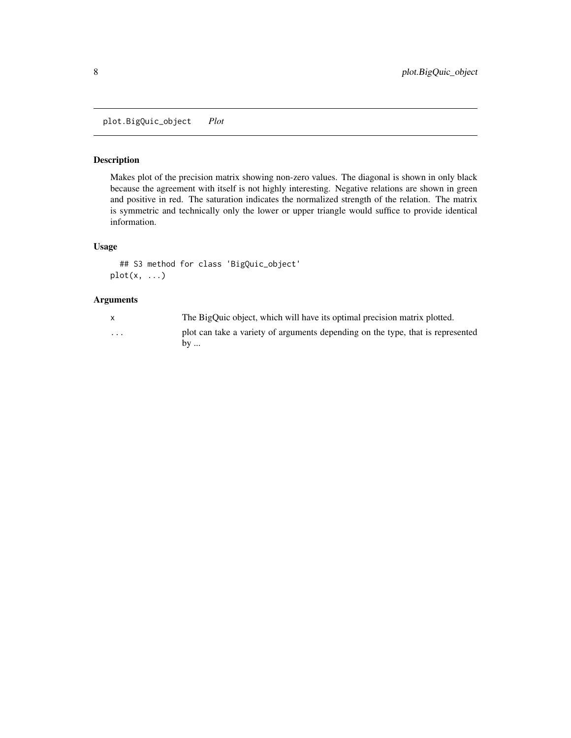<span id="page-7-0"></span>plot.BigQuic\_object *Plot*

#### Description

Makes plot of the precision matrix showing non-zero values. The diagonal is shown in only black because the agreement with itself is not highly interesting. Negative relations are shown in green and positive in red. The saturation indicates the normalized strength of the relation. The matrix is symmetric and technically only the lower or upper triangle would suffice to provide identical information.

#### Usage

```
## S3 method for class 'BigQuic_object'
plot(x, \ldots)
```
#### Arguments

|   | The BigQuic object, which will have its optimal precision matrix plotted.                       |
|---|-------------------------------------------------------------------------------------------------|
| . | plot can take a variety of arguments depending on the type, that is represented<br>$\mathbf{b}$ |